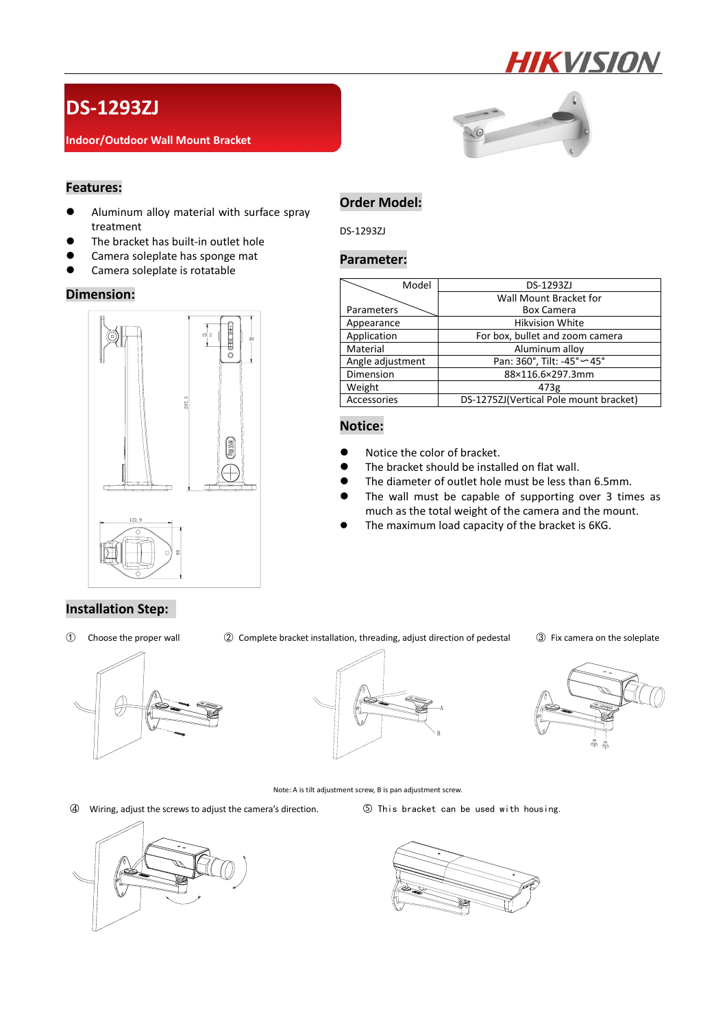

# **DS-1293ZJ**

### **Indoor/Outdoor Wall Mount Bracket**



# **Features:**

- Aluminum alloy material with surface spray treatment
- **The bracket has built-in outlet hole**
- **•** Camera soleplate has sponge mat
- **•** Camera soleplate is rotatable

### **Dimension:**



# **Order Model:**

DS-1293ZJ

### **Parameter:**

| Model            | DS-1293ZJ                              |
|------------------|----------------------------------------|
|                  | Wall Mount Bracket for                 |
| Parameters       | <b>Box Camera</b>                      |
| Appearance       | <b>Hikvision White</b>                 |
| Application      | For box, bullet and zoom camera        |
| Material         | Aluminum alloy                         |
| Angle adjustment | Pan: 360°, Tilt: -45° < 45°            |
| Dimension        | 88×116.6×297.3mm                       |
| Weight           | 473g                                   |
| Accessories      | DS-1275ZJ(Vertical Pole mount bracket) |

### **Notice:**

- Notice the color of bracket.
- The bracket should be installed on flat wall.
- The diameter of outlet hole must be less than 6.5mm.
- The wall must be capable of supporting over 3 times as much as the total weight of the camera and the mount.
- The maximum load capacity of the bracket is 6KG.

# **Installation Step:**

① Choose the proper wall ② Complete bracket installation, threading, adjust direction of pedestal ③ Fix camera on the soleplate







Note: A is tilt adjustment screw, B is pan adjustment screw.

○4 Wiring, adjust the screws to adjust the camera's direction. ○5 This bracket can be used with housing.